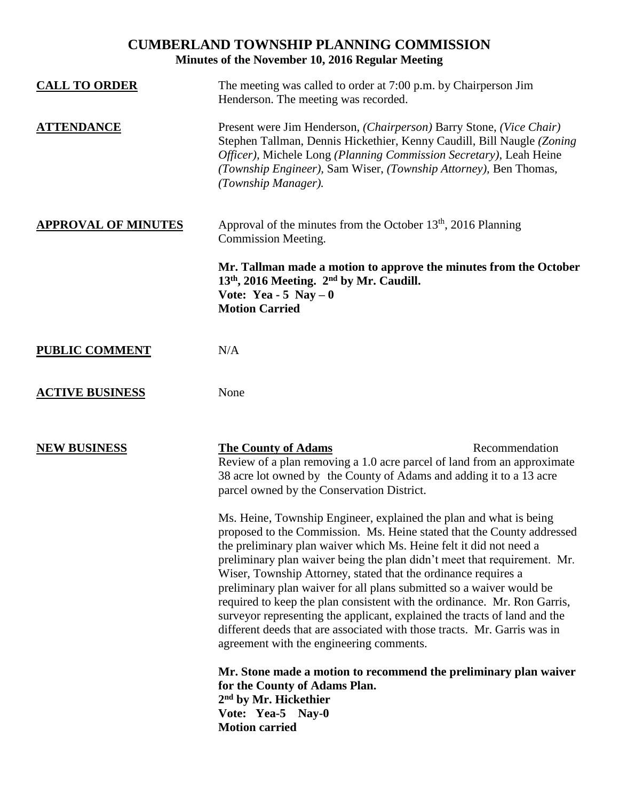## **CUMBERLAND TOWNSHIP PLANNING COMMISSION Minutes of the November 10, 2016 Regular Meeting**

| <b>CALL TO ORDER</b>       | The meeting was called to order at 7:00 p.m. by Chairperson Jim<br>Henderson. The meeting was recorded.                                                                                                                                                                                                                                                                                                                                                                                                                                                                                                                                                                                                                   |
|----------------------------|---------------------------------------------------------------------------------------------------------------------------------------------------------------------------------------------------------------------------------------------------------------------------------------------------------------------------------------------------------------------------------------------------------------------------------------------------------------------------------------------------------------------------------------------------------------------------------------------------------------------------------------------------------------------------------------------------------------------------|
| <b>ATTENDANCE</b>          | Present were Jim Henderson, (Chairperson) Barry Stone, (Vice Chair)<br>Stephen Tallman, Dennis Hickethier, Kenny Caudill, Bill Naugle (Zoning<br>Officer), Michele Long (Planning Commission Secretary), Leah Heine<br>(Township Engineer), Sam Wiser, (Township Attorney), Ben Thomas,<br>(Township Manager).                                                                                                                                                                                                                                                                                                                                                                                                            |
| <b>APPROVAL OF MINUTES</b> | Approval of the minutes from the October 13 <sup>th</sup> , 2016 Planning<br>Commission Meeting.                                                                                                                                                                                                                                                                                                                                                                                                                                                                                                                                                                                                                          |
|                            | Mr. Tallman made a motion to approve the minutes from the October<br>13 <sup>th</sup> , 2016 Meeting. 2 <sup>nd</sup> by Mr. Caudill.<br>Vote: Yea - 5 Nay $-0$<br><b>Motion Carried</b>                                                                                                                                                                                                                                                                                                                                                                                                                                                                                                                                  |
| <b>PUBLIC COMMENT</b>      | N/A                                                                                                                                                                                                                                                                                                                                                                                                                                                                                                                                                                                                                                                                                                                       |
| <b>ACTIVE BUSINESS</b>     | None                                                                                                                                                                                                                                                                                                                                                                                                                                                                                                                                                                                                                                                                                                                      |
| <b>NEW BUSINESS</b>        | Recommendation<br><b>The County of Adams</b><br>Review of a plan removing a 1.0 acre parcel of land from an approximate<br>38 acre lot owned by the County of Adams and adding it to a 13 acre<br>parcel owned by the Conservation District.                                                                                                                                                                                                                                                                                                                                                                                                                                                                              |
|                            | Ms. Heine, Township Engineer, explained the plan and what is being<br>proposed to the Commission. Ms. Heine stated that the County addressed<br>the preliminary plan waiver which Ms. Heine felt it did not need a<br>preliminary plan waiver being the plan didn't meet that requirement. Mr.<br>Wiser, Township Attorney, stated that the ordinance requires a<br>preliminary plan waiver for all plans submitted so a waiver would be<br>required to keep the plan consistent with the ordinance. Mr. Ron Garris,<br>surveyor representing the applicant, explained the tracts of land and the<br>different deeds that are associated with those tracts. Mr. Garris was in<br>agreement with the engineering comments. |
|                            | Mr. Stone made a motion to recommend the preliminary plan waiver<br>for the County of Adams Plan.<br>2 <sup>nd</sup> by Mr. Hickethier<br>Vote: Yea-5 Nay-0<br><b>Motion carried</b>                                                                                                                                                                                                                                                                                                                                                                                                                                                                                                                                      |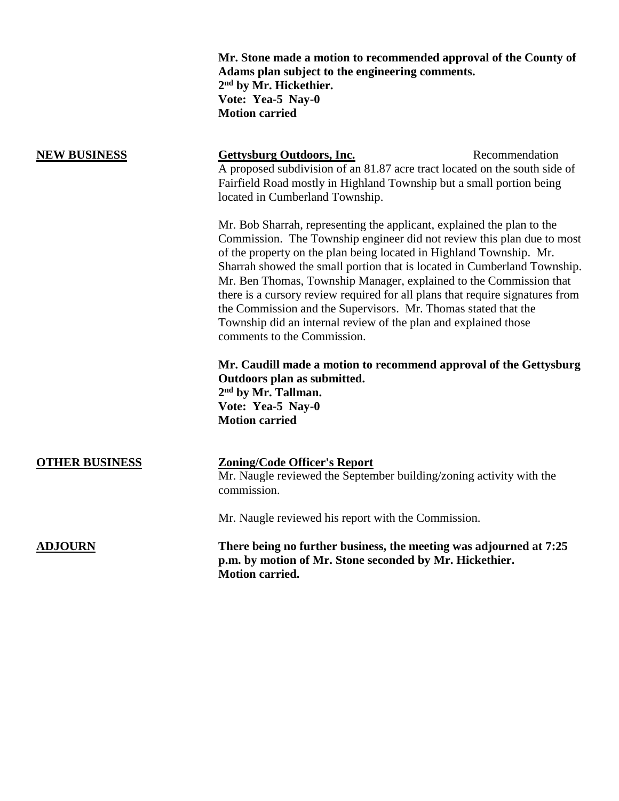**Mr. Stone made a motion to recommended approval of the County of Adams plan subject to the engineering comments. 2 nd by Mr. Hickethier. Vote: Yea-5 Nay-0 Motion carried NEW BUSINESS Gettysburg Outdoors, Inc.** Recommendation A proposed subdivision of an 81.87 acre tract located on the south side of Fairfield Road mostly in Highland Township but a small portion being located in Cumberland Township. Mr. Bob Sharrah, representing the applicant, explained the plan to the Commission. The Township engineer did not review this plan due to most of the property on the plan being located in Highland Township. Mr. Sharrah showed the small portion that is located in Cumberland Township. Mr. Ben Thomas, Township Manager, explained to the Commission that there is a cursory review required for all plans that require signatures from the Commission and the Supervisors. Mr. Thomas stated that the Township did an internal review of the plan and explained those comments to the Commission. **Mr. Caudill made a motion to recommend approval of the Gettysburg Outdoors plan as submitted. 2 nd by Mr. Tallman. Vote: Yea-5 Nay-0 Motion carried OTHER BUSINESS Zoning/Code Officer's Report** Mr. Naugle reviewed the September building/zoning activity with the commission. Mr. Naugle reviewed his report with the Commission.

**ADJOURN There being no further business, the meeting was adjourned at 7:25 p.m. by motion of Mr. Stone seconded by Mr. Hickethier. Motion carried.**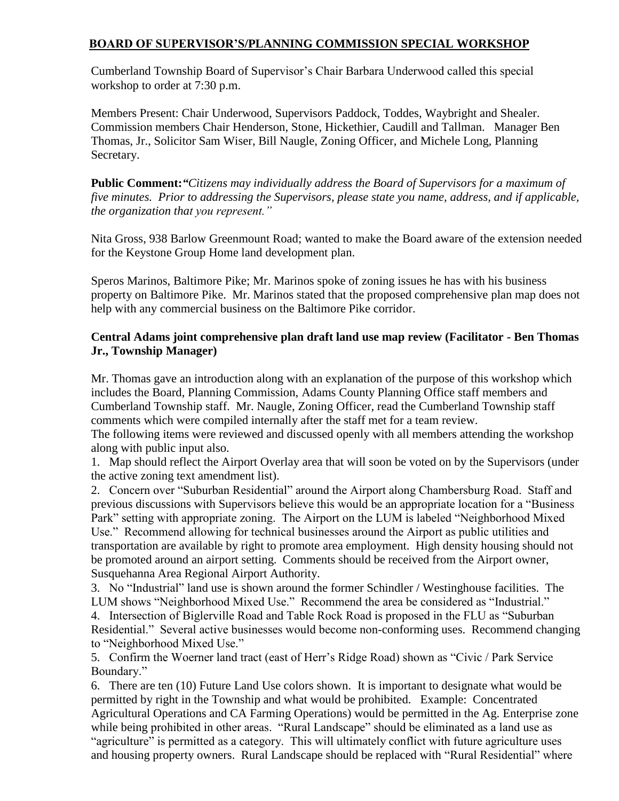## **BOARD OF SUPERVISOR'S/PLANNING COMMISSION SPECIAL WORKSHOP**

Cumberland Township Board of Supervisor's Chair Barbara Underwood called this special workshop to order at 7:30 p.m.

Members Present: Chair Underwood, Supervisors Paddock, Toddes, Waybright and Shealer. Commission members Chair Henderson, Stone, Hickethier, Caudill and Tallman. Manager Ben Thomas, Jr., Solicitor Sam Wiser, Bill Naugle, Zoning Officer, and Michele Long, Planning Secretary.

**Public Comment:***"Citizens may individually address the Board of Supervisors for a maximum of five minutes. Prior to addressing the Supervisors, please state you name, address, and if applicable, the organization that you represent."*

Nita Gross, 938 Barlow Greenmount Road; wanted to make the Board aware of the extension needed for the Keystone Group Home land development plan.

Speros Marinos, Baltimore Pike; Mr. Marinos spoke of zoning issues he has with his business property on Baltimore Pike. Mr. Marinos stated that the proposed comprehensive plan map does not help with any commercial business on the Baltimore Pike corridor.

## **Central Adams joint comprehensive plan draft land use map review (Facilitator - Ben Thomas Jr., Township Manager)**

Mr. Thomas gave an introduction along with an explanation of the purpose of this workshop which includes the Board, Planning Commission, Adams County Planning Office staff members and Cumberland Township staff. Mr. Naugle, Zoning Officer, read the Cumberland Township staff comments which were compiled internally after the staff met for a team review.

The following items were reviewed and discussed openly with all members attending the workshop along with public input also.

1. Map should reflect the Airport Overlay area that will soon be voted on by the Supervisors (under the active zoning text amendment list).

2. Concern over "Suburban Residential" around the Airport along Chambersburg Road. Staff and previous discussions with Supervisors believe this would be an appropriate location for a "Business Park" setting with appropriate zoning. The Airport on the LUM is labeled "Neighborhood Mixed Use." Recommend allowing for technical businesses around the Airport as public utilities and transportation are available by right to promote area employment. High density housing should not be promoted around an airport setting. Comments should be received from the Airport owner, Susquehanna Area Regional Airport Authority.

3. No "Industrial" land use is shown around the former Schindler / Westinghouse facilities. The LUM shows "Neighborhood Mixed Use." Recommend the area be considered as "Industrial." 4. Intersection of Biglerville Road and Table Rock Road is proposed in the FLU as "Suburban Residential." Several active businesses would become non-conforming uses. Recommend changing to "Neighborhood Mixed Use."

5. Confirm the Woerner land tract (east of Herr's Ridge Road) shown as "Civic / Park Service Boundary."

6. There are ten (10) Future Land Use colors shown. It is important to designate what would be permitted by right in the Township and what would be prohibited. Example: Concentrated Agricultural Operations and CA Farming Operations) would be permitted in the Ag. Enterprise zone while being prohibited in other areas. "Rural Landscape" should be eliminated as a land use as "agriculture" is permitted as a category. This will ultimately conflict with future agriculture uses and housing property owners. Rural Landscape should be replaced with "Rural Residential" where